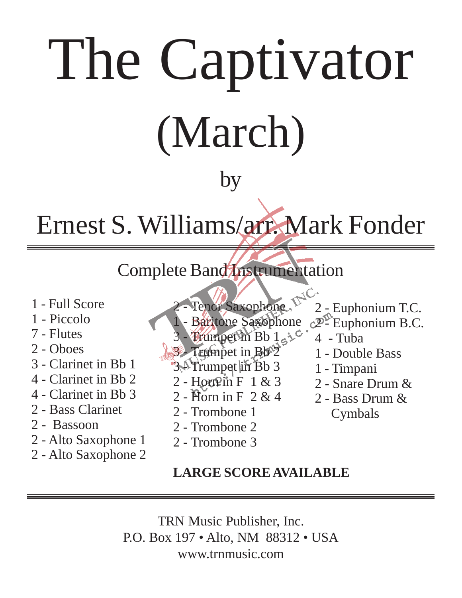# The Captivator (March)

## by

## Ernest S. Williams/arr. Mark Fonder

## Complete Band Instrumentation

- 1 Full Score
- 1 Piccolo
- 7 Flutes
- 2 Oboes
- 3 Clarinet in Bb 1
- 4 Clarinet in Bb 2
- 4 Clarinet in Bb 3
- 2 Bass Clarinet
- 2 Bassoon
- 2 Alto Saxophone 1
- 2 Alto Saxophone 2

 $\triangleleft$ C. Tenor Saxophone. 2 - Euphonium T.C. Baritone Saxophone  $c2^{\mathcal{D}}$ - Euphonium B.C.

1 - Double Bass

2 - Snare Drum &

2 - Bass Drum &

Cymbals

1 - Timpani

- Trumpet in Bb 142. 4 - Tuba
- Trumpet in Bb<sup>2</sup>
- 3.<sup>1</sup> Trumpet lin<sup>Bb</sup> 3
- $2 -$  Horn  $\mathbb{R}$  in F 1 & 3
- 2 Horn in F 2 & 4
- 2 Trombone 1
- 2 Trombone 2
- 2 Trombone 3

### **LARGE SCORE AVAILABLE**

TRN Music Publisher, Inc. P.O. Box 197 • Alto, NM 88312 • USA www.trnmusic.com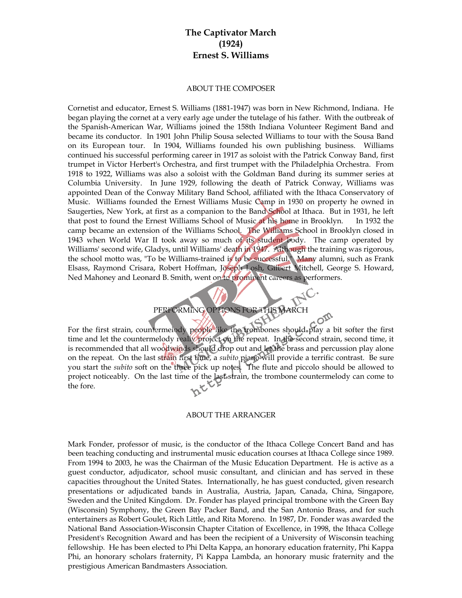#### **The Captivator March (1924) Ernest S. Williams**

#### ABOUT THE COMPOSER

Cornetist and educator, Ernest S. Williams (1881-1947) was born in New Richmond, Indiana. He began playing the cornet at a very early age under the tutelage of his father. With the outbreak of the Spanish-American War, Williams joined the 158th Indiana Volunteer Regiment Band and became its conductor. In 1901 John Philip Sousa selected Williams to tour with the Sousa Band on its European tour. In 1904, Williams founded his own publishing business. Williams continued his successful performing career in 1917 as soloist with the Patrick Conway Band, first trumpet in Victor Herbert's Orchestra, and first trumpet with the Philadelphia Orchestra. From 1918 to 1922, Williams was also a soloist with the Goldman Band during its summer series at Columbia University. In June 1929, following the death of Patrick Conway, Williams was appointed Dean of the Conway Military Band School, affiliated with the Ithaca Conservatory of Music. Williams founded the Ernest Williams Music Camp in 1930 on property he owned in Saugerties, New York, at first as a companion to the Band School at Ithaca. But in 1931, he left that post to found the Ernest Williams School of Music at his home in Brooklyn. In 1932 the camp became an extension of the Williams School. The Williams School in Brooklyn closed in 1943 when World War II took away so much of its student body. The camp operated by Williams' second wife, Gladys, until Williams' death in 1947. Although the training was rigorous, the school motto was, "To be Williams-trained is to be successful." Many alumni, such as Frank Elsass, Raymond Crisara, Robert Hoffman, Joseph Losh, Gilbert Mitchell, George S. Howard, Ned Mahoney and Leonard B. Smith, went on to prominent careers as performers.

#### PERFORMING OPTIONS FOR THIS MARCH

For the first strain, countermelody people like the trombones should play a bit softer the first time and let the countermelody really project on the repeat. In the second strain, second time, it is recommended that all wood winds should drop out and let the brass and percussion play alone on the repeat. On the last strain first time, a *subito* piano will provide a terrific contrast. Be sure you start the *subito* soft on the three pick up notes. The flute and piccolo should be allowed to project noticeably. On the last time of the last strain, the trombone countermelody can come to the fore.

#### ABOUT THE ARRANGER

Mark Fonder, professor of music, is the conductor of the Ithaca College Concert Band and has been teaching conducting and instrumental music education courses at Ithaca College since 1989. From 1994 to 2003, he was the Chairman of the Music Education Department. He is active as a guest conductor, adjudicator, school music consultant, and clinician and has served in these capacities throughout the United States. Internationally, he has guest conducted, given research presentations or adjudicated bands in Australia, Austria, Japan, Canada, China, Singapore, Sweden and the United Kingdom. Dr. Fonder has played principal trombone with the Green Bay (Wisconsin) Symphony, the Green Bay Packer Band, and the San Antonio Brass, and for such entertainers as Robert Goulet, Rich Little, and Rita Moreno. In 1987, Dr. Fonder was awarded the National Band Association-Wisconsin Chapter Citation of Excellence, in 1998, the Ithaca College President's Recognition Award and has been the recipient of a University of Wisconsin teaching fellowship. He has been elected to Phi Delta Kappa, an honorary education fraternity, Phi Kappa Phi, an honorary scholars fraternity, Pi Kappa Lambda, an honorary music fraternity and the prestigious American Bandmasters Association.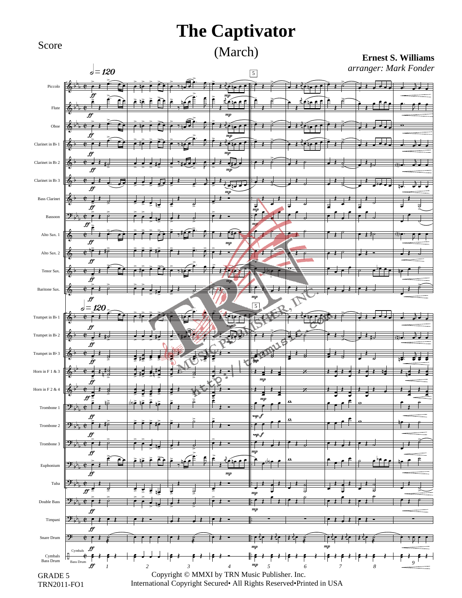## Score (March)

#### **Ernest S. Williams**

*arranger: Mark Fonder*

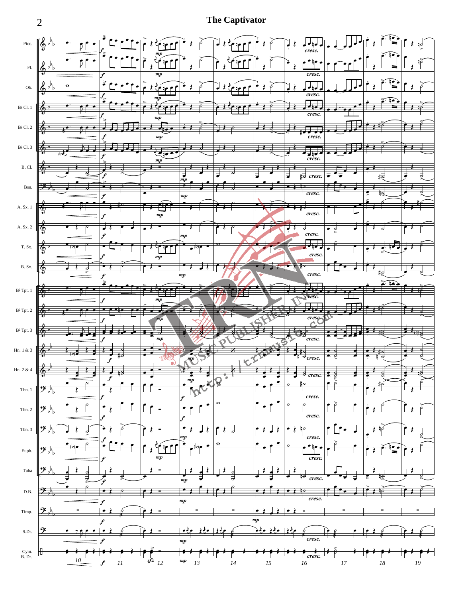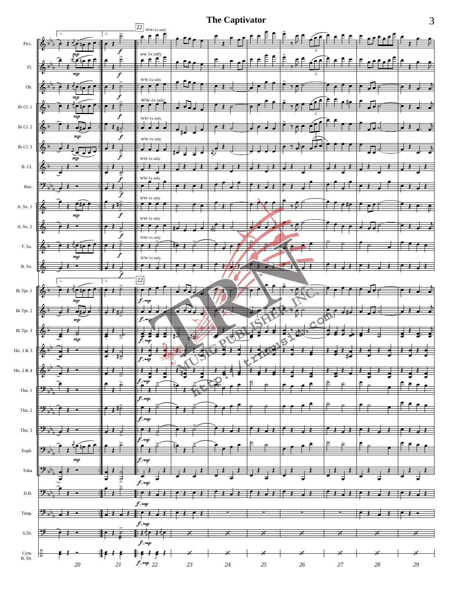

3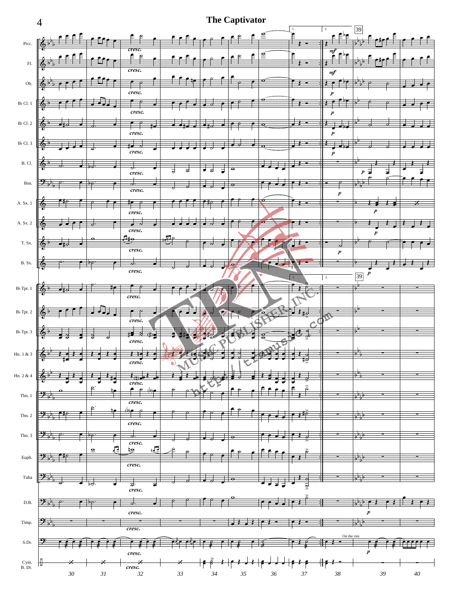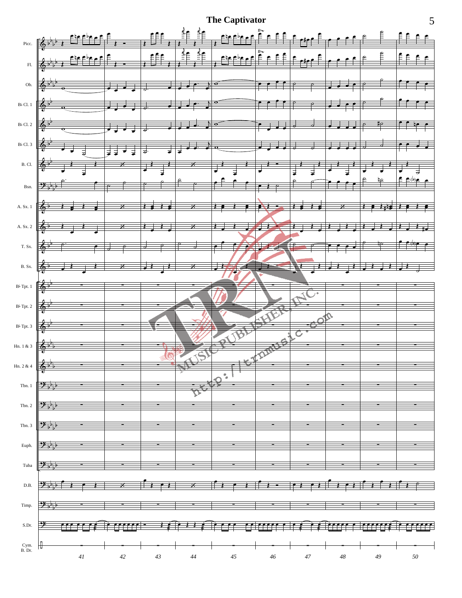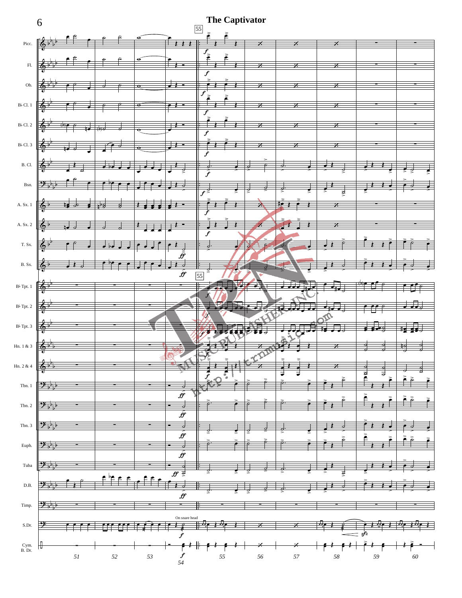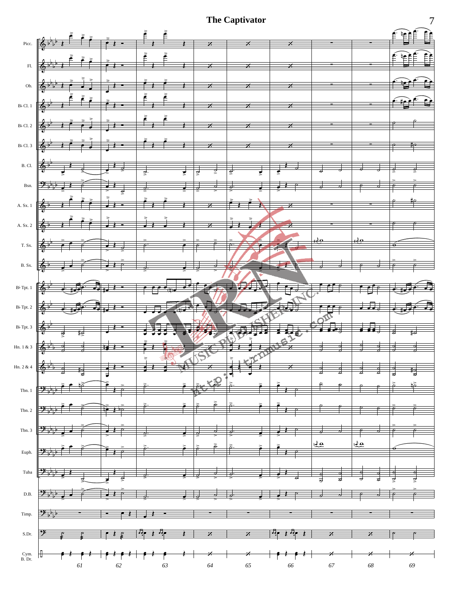

7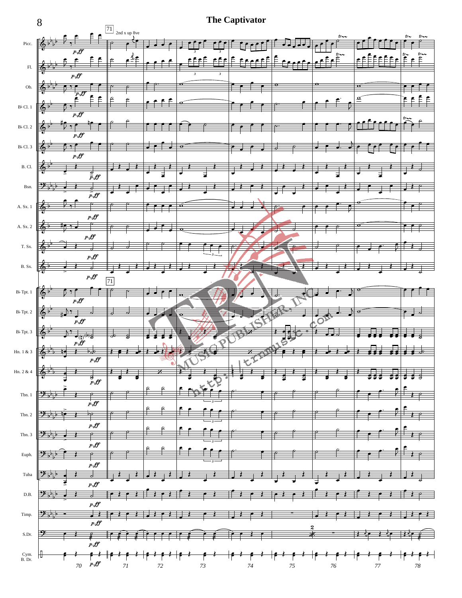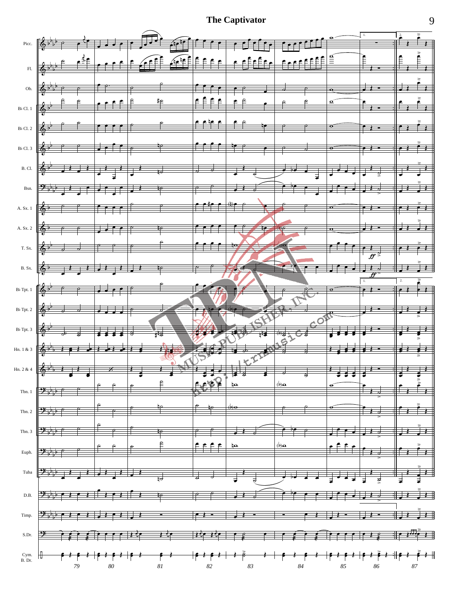**The Captivator**



9